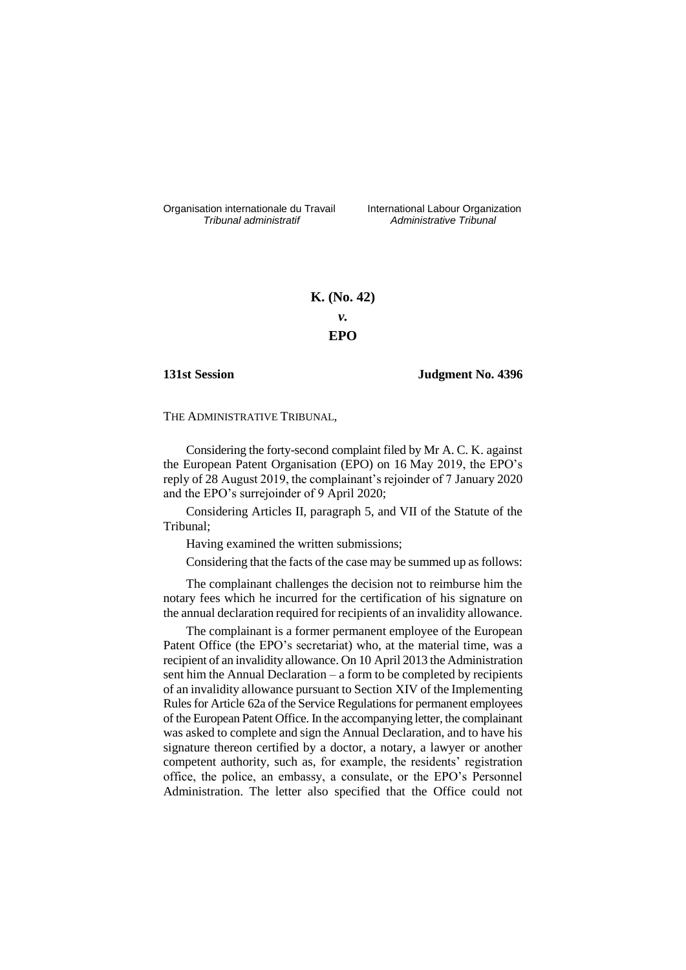Organisation internationale du Travail liternational Labour Organization<br> *Tribunal administratif Administrative Tribunal* 

*Tribunal administratif Administrative Tribunal*

# **K. (No. 42)** *v.* **EPO**

## **131st Session Judgment No. 4396**

THE ADMINISTRATIVE TRIBUNAL,

Considering the forty-second complaint filed by Mr A. C. K. against the European Patent Organisation (EPO) on 16 May 2019, the EPO's reply of 28 August 2019, the complainant's rejoinder of 7 January 2020 and the EPO's surrejoinder of 9 April 2020;

Considering Articles II, paragraph 5, and VII of the Statute of the Tribunal;

Having examined the written submissions;

Considering that the facts of the case may be summed up as follows:

The complainant challenges the decision not to reimburse him the notary fees which he incurred for the certification of his signature on the annual declaration required for recipients of an invalidity allowance.

The complainant is a former permanent employee of the European Patent Office (the EPO's secretariat) who, at the material time, was a recipient of an invalidity allowance. On 10 April 2013 the Administration sent him the Annual Declaration – a form to be completed by recipients of an invalidity allowance pursuant to Section XIV of the Implementing Rules for Article 62a of the Service Regulations for permanent employees of the European Patent Office. In the accompanying letter, the complainant was asked to complete and sign the Annual Declaration, and to have his signature thereon certified by a doctor, a notary, a lawyer or another competent authority, such as, for example, the residents' registration office, the police, an embassy, a consulate, or the EPO's Personnel Administration. The letter also specified that the Office could not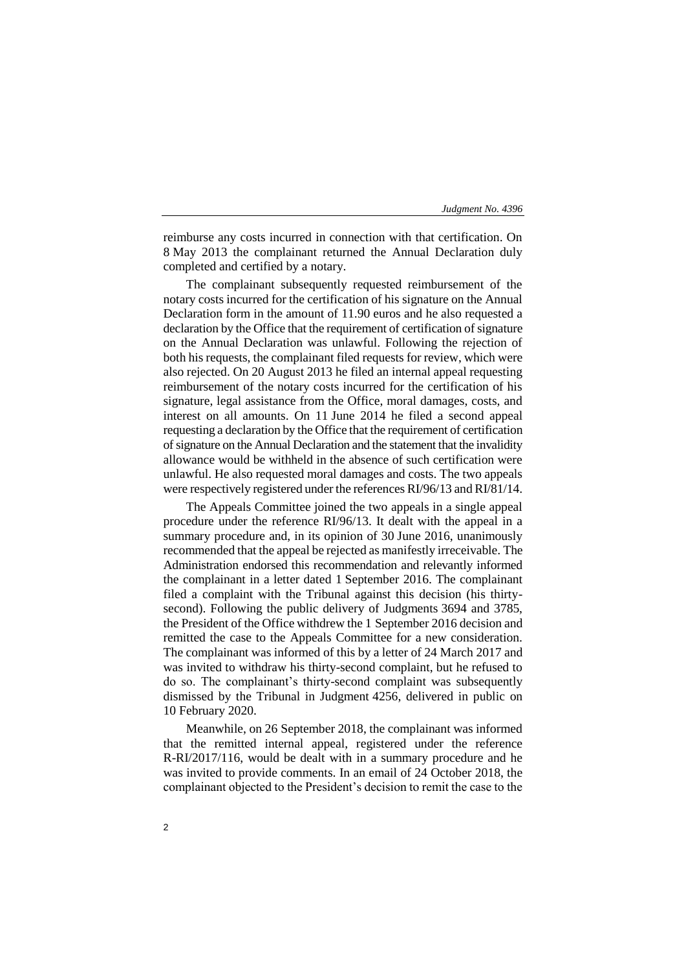reimburse any costs incurred in connection with that certification. On 8 May 2013 the complainant returned the Annual Declaration duly completed and certified by a notary.

The complainant subsequently requested reimbursement of the notary costs incurred for the certification of his signature on the Annual Declaration form in the amount of 11.90 euros and he also requested a declaration by the Office that the requirement of certification of signature on the Annual Declaration was unlawful. Following the rejection of both his requests, the complainant filed requests for review, which were also rejected. On 20 August 2013 he filed an internal appeal requesting reimbursement of the notary costs incurred for the certification of his signature, legal assistance from the Office, moral damages, costs, and interest on all amounts. On 11 June 2014 he filed a second appeal requesting a declaration by the Office that the requirement of certification of signature on the Annual Declaration and the statement that the invalidity allowance would be withheld in the absence of such certification were unlawful. He also requested moral damages and costs. The two appeals were respectively registered under the references RI/96/13 and RI/81/14.

The Appeals Committee joined the two appeals in a single appeal procedure under the reference RI/96/13. It dealt with the appeal in a summary procedure and, in its opinion of 30 June 2016, unanimously recommended that the appeal be rejected as manifestly irreceivable. The Administration endorsed this recommendation and relevantly informed the complainant in a letter dated 1 September 2016. The complainant filed a complaint with the Tribunal against this decision (his thirtysecond). Following the public delivery of Judgments 3694 and 3785, the President of the Office withdrew the 1 September 2016 decision and remitted the case to the Appeals Committee for a new consideration. The complainant was informed of this by a letter of 24 March 2017 and was invited to withdraw his thirty-second complaint, but he refused to do so. The complainant's thirty-second complaint was subsequently dismissed by the Tribunal in Judgment 4256, delivered in public on 10 February 2020.

Meanwhile, on 26 September 2018, the complainant was informed that the remitted internal appeal, registered under the reference R-RI/2017/116, would be dealt with in a summary procedure and he was invited to provide comments. In an email of 24 October 2018, the complainant objected to the President's decision to remit the case to the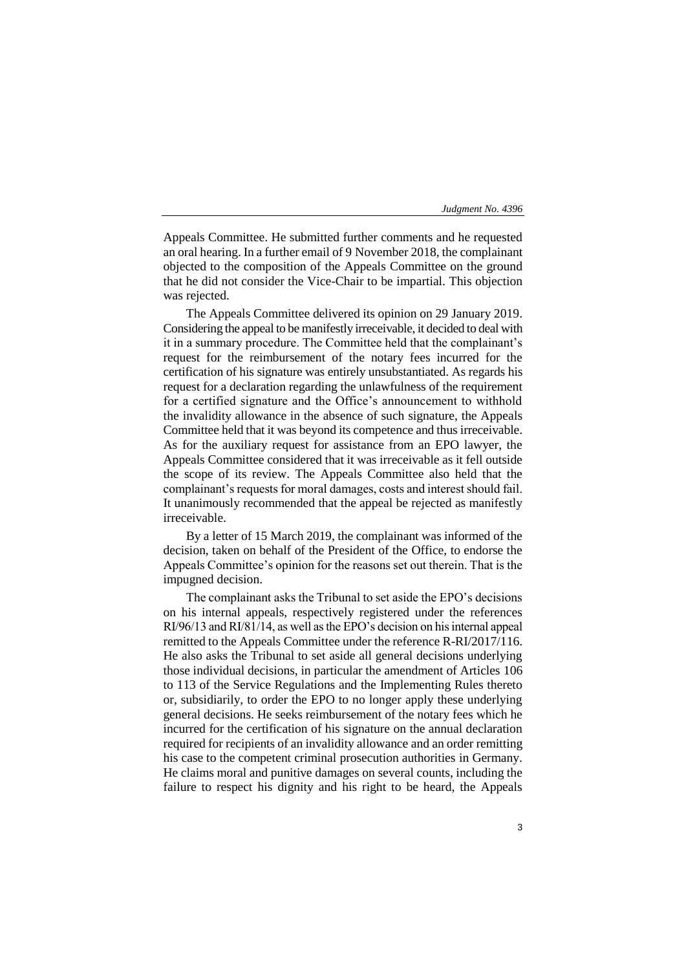Appeals Committee. He submitted further comments and he requested an oral hearing. In a further email of 9 November 2018, the complainant objected to the composition of the Appeals Committee on the ground that he did not consider the Vice-Chair to be impartial. This objection was rejected.

The Appeals Committee delivered its opinion on 29 January 2019. Considering the appeal to be manifestly irreceivable, it decided to deal with it in a summary procedure. The Committee held that the complainant's request for the reimbursement of the notary fees incurred for the certification of his signature was entirely unsubstantiated. As regards his request for a declaration regarding the unlawfulness of the requirement for a certified signature and the Office's announcement to withhold the invalidity allowance in the absence of such signature, the Appeals Committee held that it was beyond its competence and thus irreceivable. As for the auxiliary request for assistance from an EPO lawyer, the Appeals Committee considered that it was irreceivable as it fell outside the scope of its review. The Appeals Committee also held that the complainant's requests for moral damages, costs and interest should fail. It unanimously recommended that the appeal be rejected as manifestly irreceivable.

By a letter of 15 March 2019, the complainant was informed of the decision, taken on behalf of the President of the Office, to endorse the Appeals Committee's opinion for the reasons set out therein. That is the impugned decision.

The complainant asks the Tribunal to set aside the EPO's decisions on his internal appeals, respectively registered under the references RI/96/13 and RI/81/14, as well as the EPO's decision on his internal appeal remitted to the Appeals Committee under the reference R-RI/2017/116. He also asks the Tribunal to set aside all general decisions underlying those individual decisions, in particular the amendment of Articles 106 to 113 of the Service Regulations and the Implementing Rules thereto or, subsidiarily, to order the EPO to no longer apply these underlying general decisions. He seeks reimbursement of the notary fees which he incurred for the certification of his signature on the annual declaration required for recipients of an invalidity allowance and an order remitting his case to the competent criminal prosecution authorities in Germany. He claims moral and punitive damages on several counts, including the failure to respect his dignity and his right to be heard, the Appeals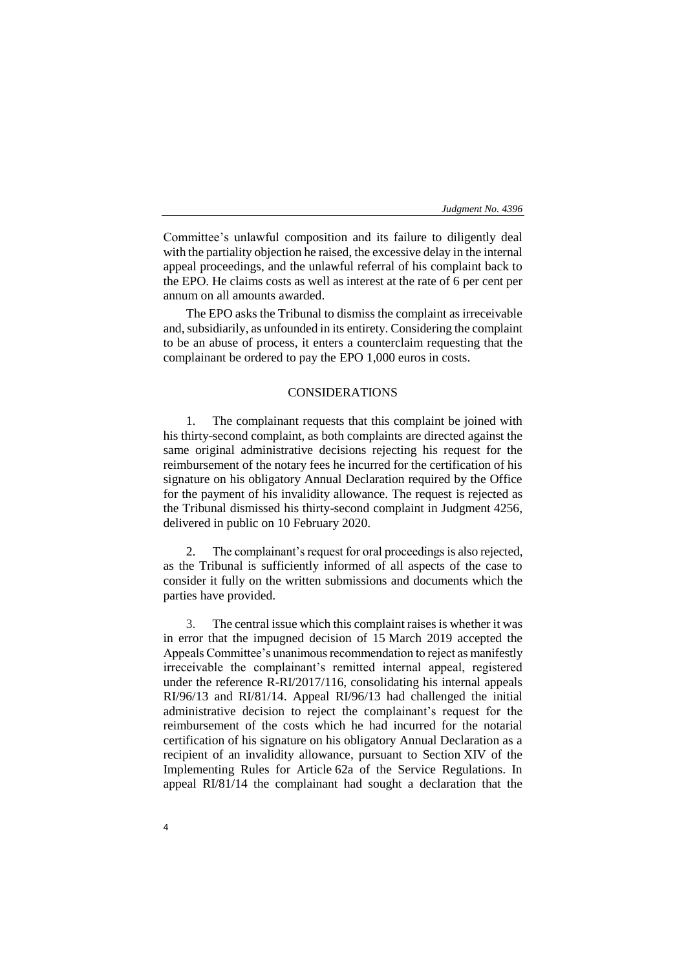Committee's unlawful composition and its failure to diligently deal with the partiality objection he raised, the excessive delay in the internal appeal proceedings, and the unlawful referral of his complaint back to the EPO. He claims costs as well as interest at the rate of 6 per cent per annum on all amounts awarded.

The EPO asks the Tribunal to dismiss the complaint as irreceivable and, subsidiarily, as unfounded in its entirety. Considering the complaint to be an abuse of process, it enters a counterclaim requesting that the complainant be ordered to pay the EPO 1,000 euros in costs.

## CONSIDERATIONS

1. The complainant requests that this complaint be joined with his thirty-second complaint, as both complaints are directed against the same original administrative decisions rejecting his request for the reimbursement of the notary fees he incurred for the certification of his signature on his obligatory Annual Declaration required by the Office for the payment of his invalidity allowance. The request is rejected as the Tribunal dismissed his thirty-second complaint in Judgment 4256, delivered in public on 10 February 2020.

2. The complainant's request for oral proceedings is also rejected, as the Tribunal is sufficiently informed of all aspects of the case to consider it fully on the written submissions and documents which the parties have provided.

3. The central issue which this complaint raises is whether it was in error that the impugned decision of 15 March 2019 accepted the Appeals Committee's unanimous recommendation to reject as manifestly irreceivable the complainant's remitted internal appeal, registered under the reference R-RI/2017/116, consolidating his internal appeals RI/96/13 and RI/81/14. Appeal RI/96/13 had challenged the initial administrative decision to reject the complainant's request for the reimbursement of the costs which he had incurred for the notarial certification of his signature on his obligatory Annual Declaration as a recipient of an invalidity allowance, pursuant to Section XIV of the Implementing Rules for Article 62a of the Service Regulations. In appeal RI/81/14 the complainant had sought a declaration that the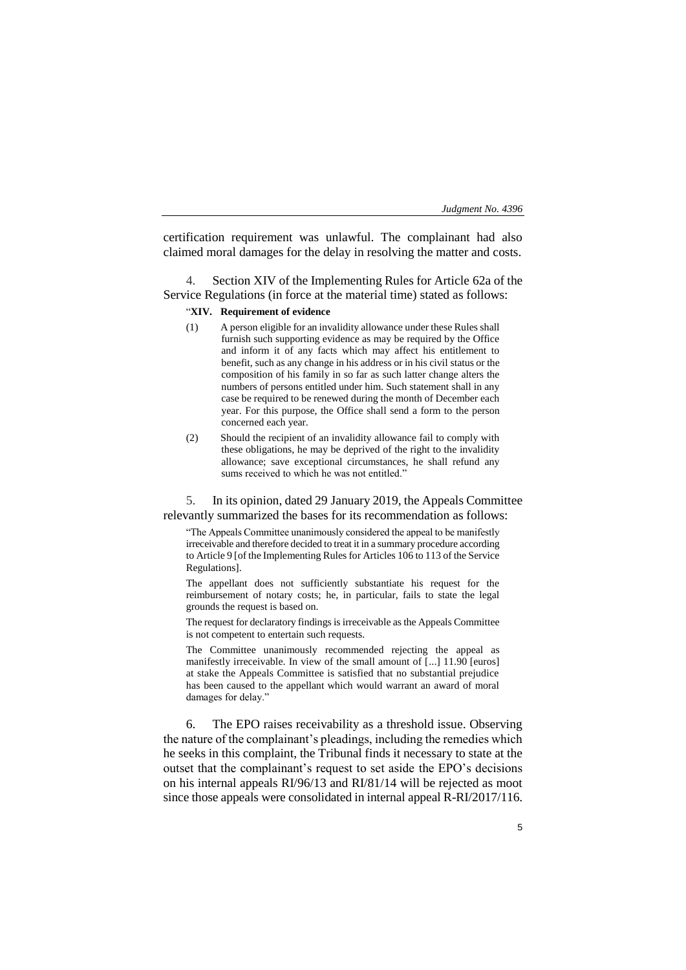certification requirement was unlawful. The complainant had also claimed moral damages for the delay in resolving the matter and costs.

Section XIV of the Implementing Rules for Article 62a of the Service Regulations (in force at the material time) stated as follows:

## "**XIV. Requirement of evidence**

- (1) A person eligible for an invalidity allowance under these Rules shall furnish such supporting evidence as may be required by the Office and inform it of any facts which may affect his entitlement to benefit, such as any change in his address or in his civil status or the composition of his family in so far as such latter change alters the numbers of persons entitled under him. Such statement shall in any case be required to be renewed during the month of December each year. For this purpose, the Office shall send a form to the person concerned each year.
- (2) Should the recipient of an invalidity allowance fail to comply with these obligations, he may be deprived of the right to the invalidity allowance; save exceptional circumstances, he shall refund any sums received to which he was not entitled."

5. In its opinion, dated 29 January 2019, the Appeals Committee relevantly summarized the bases for its recommendation as follows:

"The Appeals Committee unanimously considered the appeal to be manifestly irreceivable and therefore decided to treat it in a summary procedure according to Article 9 [of the Implementing Rules for Articles 106 to 113 of the Service Regulations].

The appellant does not sufficiently substantiate his request for the reimbursement of notary costs; he, in particular, fails to state the legal grounds the request is based on.

The request for declaratory findings is irreceivable as the Appeals Committee is not competent to entertain such requests.

The Committee unanimously recommended rejecting the appeal as manifestly irreceivable. In view of the small amount of [...] 11.90 [euros] at stake the Appeals Committee is satisfied that no substantial prejudice has been caused to the appellant which would warrant an award of moral damages for delay."

6. The EPO raises receivability as a threshold issue. Observing the nature of the complainant's pleadings, including the remedies which he seeks in this complaint, the Tribunal finds it necessary to state at the outset that the complainant's request to set aside the EPO's decisions on his internal appeals RI/96/13 and RI/81/14 will be rejected as moot since those appeals were consolidated in internal appeal R-RI/2017/116.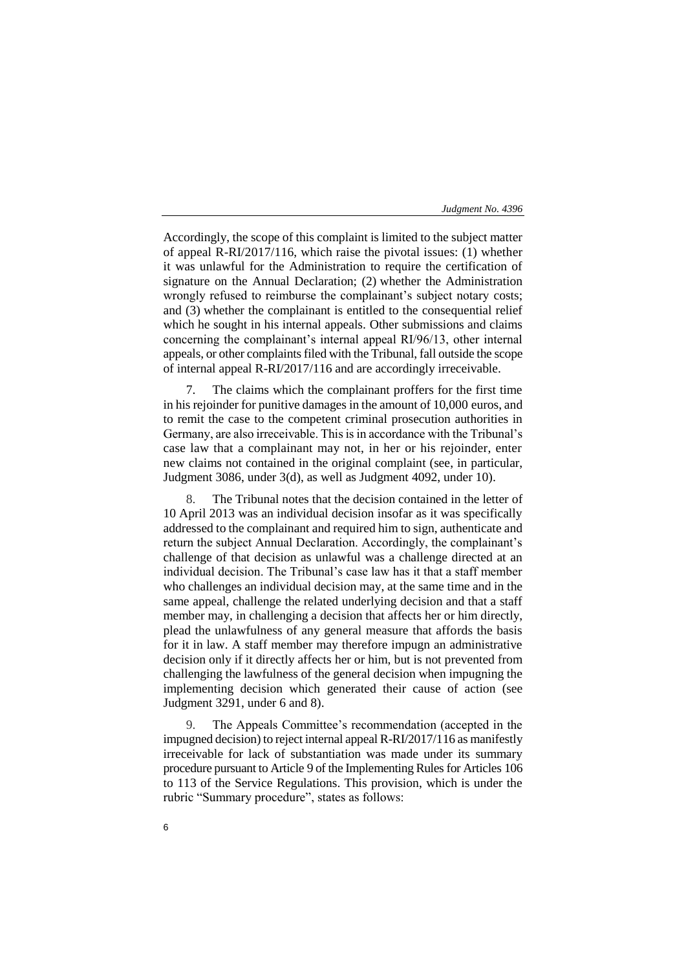Accordingly, the scope of this complaint is limited to the subject matter of appeal R-RI/2017/116, which raise the pivotal issues: (1) whether it was unlawful for the Administration to require the certification of signature on the Annual Declaration; (2) whether the Administration wrongly refused to reimburse the complainant's subject notary costs; and (3) whether the complainant is entitled to the consequential relief which he sought in his internal appeals. Other submissions and claims concerning the complainant's internal appeal RI/96/13, other internal appeals, or other complaints filed with the Tribunal, fall outside the scope of internal appeal R-RI/2017/116 and are accordingly irreceivable.

7. The claims which the complainant proffers for the first time in his rejoinder for punitive damages in the amount of 10,000 euros, and to remit the case to the competent criminal prosecution authorities in Germany, are also irreceivable. This is in accordance with the Tribunal's case law that a complainant may not, in her or his rejoinder, enter new claims not contained in the original complaint (see, in particular, Judgment 3086, under 3(d), as well as Judgment 4092, under 10).

8. The Tribunal notes that the decision contained in the letter of 10 April 2013 was an individual decision insofar as it was specifically addressed to the complainant and required him to sign, authenticate and return the subject Annual Declaration. Accordingly, the complainant's challenge of that decision as unlawful was a challenge directed at an individual decision. The Tribunal's case law has it that a staff member who challenges an individual decision may, at the same time and in the same appeal, challenge the related underlying decision and that a staff member may, in challenging a decision that affects her or him directly, plead the unlawfulness of any general measure that affords the basis for it in law. A staff member may therefore impugn an administrative decision only if it directly affects her or him, but is not prevented from challenging the lawfulness of the general decision when impugning the implementing decision which generated their cause of action (see Judgment 3291, under 6 and 8).

9. The Appeals Committee's recommendation (accepted in the impugned decision) to reject internal appeal R-RI/2017/116 as manifestly irreceivable for lack of substantiation was made under its summary procedure pursuant to Article 9 of the Implementing Rules for Articles 106 to 113 of the Service Regulations. This provision, which is under the rubric "Summary procedure", states as follows: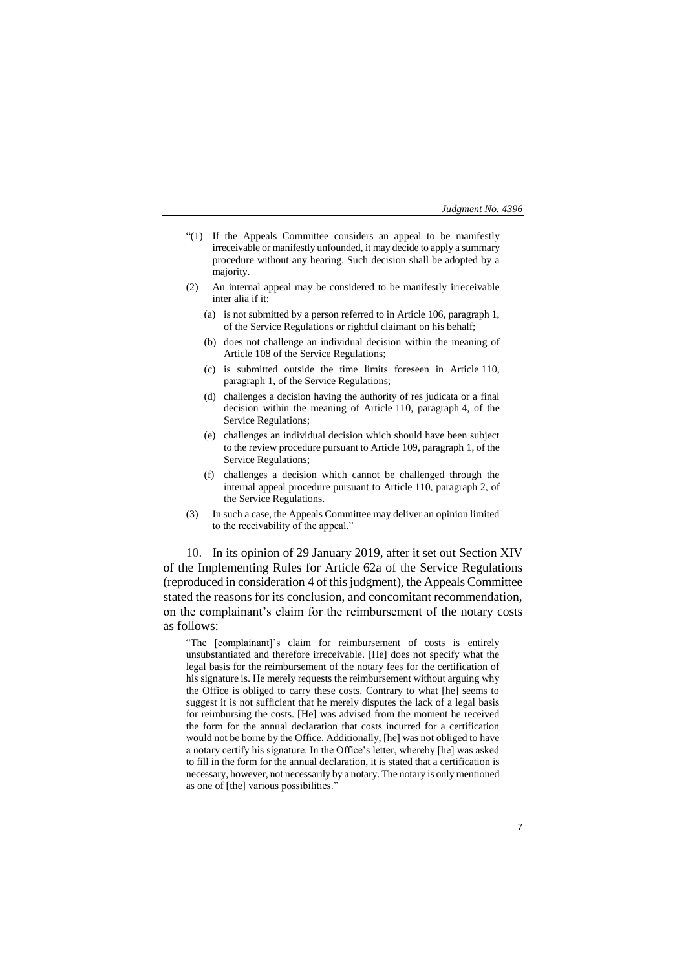- "(1) If the Appeals Committee considers an appeal to be manifestly irreceivable or manifestly unfounded, it may decide to apply a summary procedure without any hearing. Such decision shall be adopted by a majority.
- (2) An internal appeal may be considered to be manifestly irreceivable inter alia if it:
	- (a) is not submitted by a person referred to in Article 106, paragraph 1, of the Service Regulations or rightful claimant on his behalf;
	- (b) does not challenge an individual decision within the meaning of Article 108 of the Service Regulations;
	- (c) is submitted outside the time limits foreseen in Article 110, paragraph 1, of the Service Regulations;
	- (d) challenges a decision having the authority of res judicata or a final decision within the meaning of Article 110, paragraph 4, of the Service Regulations;
	- (e) challenges an individual decision which should have been subject to the review procedure pursuant to Article 109, paragraph 1, of the Service Regulations;
	- (f) challenges a decision which cannot be challenged through the internal appeal procedure pursuant to Article 110, paragraph 2, of the Service Regulations.
- (3) In such a case, the Appeals Committee may deliver an opinion limited to the receivability of the appeal."

10. In its opinion of 29 January 2019, after it set out Section XIV of the Implementing Rules for Article 62a of the Service Regulations (reproduced in consideration 4 of this judgment), the Appeals Committee stated the reasons for its conclusion, and concomitant recommendation, on the complainant's claim for the reimbursement of the notary costs as follows:

"The [complainant]'s claim for reimbursement of costs is entirely unsubstantiated and therefore irreceivable. [He] does not specify what the legal basis for the reimbursement of the notary fees for the certification of his signature is. He merely requests the reimbursement without arguing why the Office is obliged to carry these costs. Contrary to what [he] seems to suggest it is not sufficient that he merely disputes the lack of a legal basis for reimbursing the costs. [He] was advised from the moment he received the form for the annual declaration that costs incurred for a certification would not be borne by the Office. Additionally, [he] was not obliged to have a notary certify his signature. In the Office's letter, whereby [he] was asked to fill in the form for the annual declaration, it is stated that a certification is necessary, however, not necessarily by a notary. The notary is only mentioned as one of [the] various possibilities."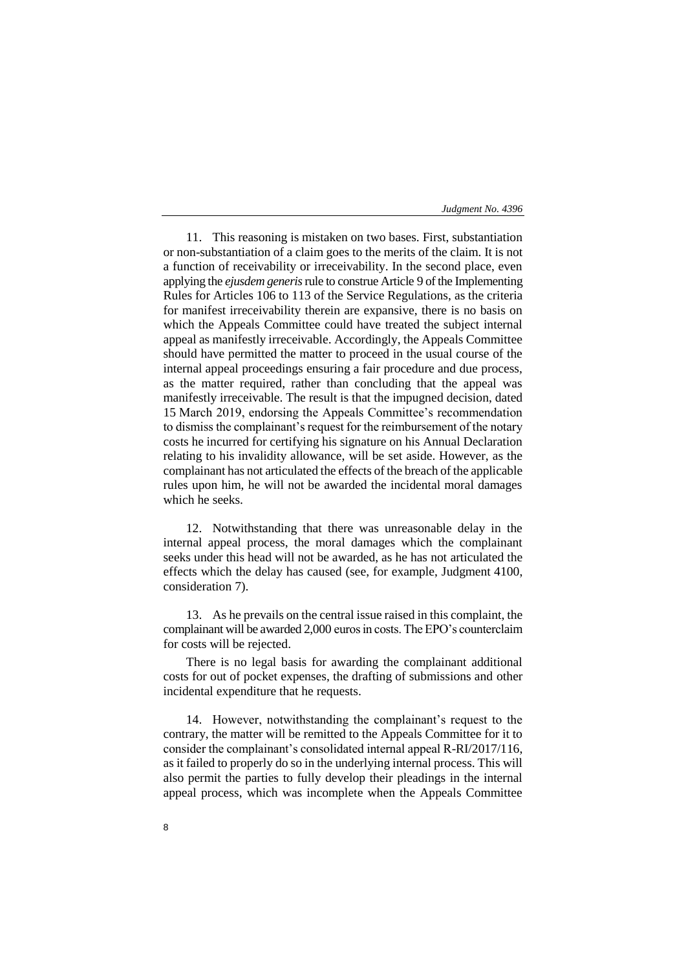11. This reasoning is mistaken on two bases. First, substantiation or non-substantiation of a claim goes to the merits of the claim. It is not a function of receivability or irreceivability. In the second place, even applying the *ejusdem generis*rule to construe Article 9 of the Implementing Rules for Articles 106 to 113 of the Service Regulations, as the criteria for manifest irreceivability therein are expansive, there is no basis on which the Appeals Committee could have treated the subject internal appeal as manifestly irreceivable. Accordingly, the Appeals Committee should have permitted the matter to proceed in the usual course of the internal appeal proceedings ensuring a fair procedure and due process, as the matter required, rather than concluding that the appeal was manifestly irreceivable. The result is that the impugned decision, dated 15 March 2019, endorsing the Appeals Committee's recommendation to dismiss the complainant's request for the reimbursement of the notary costs he incurred for certifying his signature on his Annual Declaration relating to his invalidity allowance, will be set aside. However, as the complainant has not articulated the effects of the breach of the applicable rules upon him, he will not be awarded the incidental moral damages which he seeks.

12. Notwithstanding that there was unreasonable delay in the internal appeal process, the moral damages which the complainant seeks under this head will not be awarded, as he has not articulated the effects which the delay has caused (see, for example, Judgment 4100, consideration 7).

13. As he prevails on the central issue raised in this complaint, the complainant will be awarded 2,000 euros in costs. The EPO's counterclaim for costs will be rejected.

There is no legal basis for awarding the complainant additional costs for out of pocket expenses, the drafting of submissions and other incidental expenditure that he requests.

14. However, notwithstanding the complainant's request to the contrary, the matter will be remitted to the Appeals Committee for it to consider the complainant's consolidated internal appeal R-RI/2017/116, as it failed to properly do so in the underlying internal process. This will also permit the parties to fully develop their pleadings in the internal appeal process, which was incomplete when the Appeals Committee